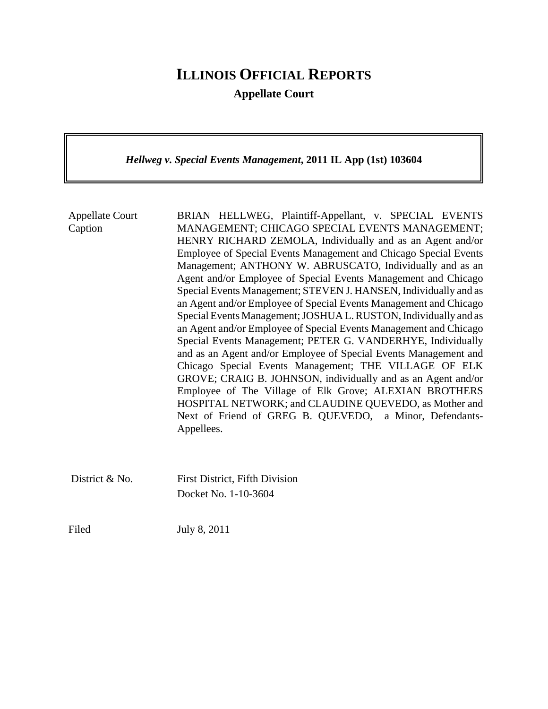## **ILLINOIS OFFICIAL REPORTS**

**Appellate Court**

*Hellweg v. Special Events Management***, 2011 IL App (1st) 103604**

| <b>Appellate Court</b><br>Caption | BRIAN HELLWEG, Plaintiff-Appellant, v. SPECIAL EVENTS<br>MANAGEMENT; CHICAGO SPECIAL EVENTS MANAGEMENT;<br>HENRY RICHARD ZEMOLA, Individually and as an Agent and/or<br>Employee of Special Events Management and Chicago Special Events<br>Management; ANTHONY W. ABRUSCATO, Individually and as an<br>Agent and/or Employee of Special Events Management and Chicago<br>Special Events Management; STEVEN J. HANSEN, Individually and as<br>an Agent and/or Employee of Special Events Management and Chicago<br>Special Events Management; JOSHUA L. RUSTON, Individually and as<br>an Agent and/or Employee of Special Events Management and Chicago<br>Special Events Management; PETER G. VANDERHYE, Individually<br>and as an Agent and/or Employee of Special Events Management and<br>Chicago Special Events Management; THE VILLAGE OF ELK<br>GROVE; CRAIG B. JOHNSON, individually and as an Agent and/or<br>Employee of The Village of Elk Grove; ALEXIAN BROTHERS<br>HOSPITAL NETWORK; and CLAUDINE QUEVEDO, as Mother and<br>Next of Friend of GREG B. QUEVEDO, a Minor, Defendants-<br>Appellees. |
|-----------------------------------|------------------------------------------------------------------------------------------------------------------------------------------------------------------------------------------------------------------------------------------------------------------------------------------------------------------------------------------------------------------------------------------------------------------------------------------------------------------------------------------------------------------------------------------------------------------------------------------------------------------------------------------------------------------------------------------------------------------------------------------------------------------------------------------------------------------------------------------------------------------------------------------------------------------------------------------------------------------------------------------------------------------------------------------------------------------------------------------------------------------|
| District & No.                    | <b>First District, Fifth Division</b><br>Docket No. 1-10-3604                                                                                                                                                                                                                                                                                                                                                                                                                                                                                                                                                                                                                                                                                                                                                                                                                                                                                                                                                                                                                                                    |

Filed July 8, 2011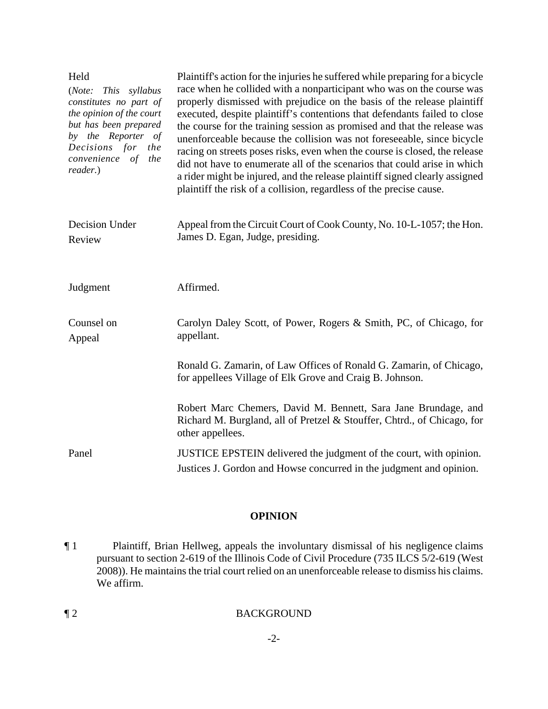| Held<br>(Note:<br>This syllabus<br>constitutes no part of<br>the opinion of the court<br>but has been prepared<br>by the Reporter of<br>Decisions for<br>the<br>convenience of<br>the<br>reader.) | Plaintiff's action for the injuries he suffered while preparing for a bicycle<br>race when he collided with a nonparticipant who was on the course was<br>properly dismissed with prejudice on the basis of the release plaintiff<br>executed, despite plaintiff's contentions that defendants failed to close<br>the course for the training session as promised and that the release was<br>unenforceable because the collision was not foreseeable, since bicycle<br>racing on streets poses risks, even when the course is closed, the release<br>did not have to enumerate all of the scenarios that could arise in which<br>a rider might be injured, and the release plaintiff signed clearly assigned<br>plaintiff the risk of a collision, regardless of the precise cause. |
|---------------------------------------------------------------------------------------------------------------------------------------------------------------------------------------------------|--------------------------------------------------------------------------------------------------------------------------------------------------------------------------------------------------------------------------------------------------------------------------------------------------------------------------------------------------------------------------------------------------------------------------------------------------------------------------------------------------------------------------------------------------------------------------------------------------------------------------------------------------------------------------------------------------------------------------------------------------------------------------------------|
| Decision Under<br>Review                                                                                                                                                                          | Appeal from the Circuit Court of Cook County, No. 10-L-1057; the Hon.<br>James D. Egan, Judge, presiding.                                                                                                                                                                                                                                                                                                                                                                                                                                                                                                                                                                                                                                                                            |
| Judgment                                                                                                                                                                                          | Affirmed.                                                                                                                                                                                                                                                                                                                                                                                                                                                                                                                                                                                                                                                                                                                                                                            |
| Counsel on<br>Appeal                                                                                                                                                                              | Carolyn Daley Scott, of Power, Rogers & Smith, PC, of Chicago, for<br>appellant.                                                                                                                                                                                                                                                                                                                                                                                                                                                                                                                                                                                                                                                                                                     |
|                                                                                                                                                                                                   | Ronald G. Zamarin, of Law Offices of Ronald G. Zamarin, of Chicago,<br>for appellees Village of Elk Grove and Craig B. Johnson.                                                                                                                                                                                                                                                                                                                                                                                                                                                                                                                                                                                                                                                      |
|                                                                                                                                                                                                   | Robert Marc Chemers, David M. Bennett, Sara Jane Brundage, and<br>Richard M. Burgland, all of Pretzel & Stouffer, Chtrd., of Chicago, for<br>other appellees.                                                                                                                                                                                                                                                                                                                                                                                                                                                                                                                                                                                                                        |
| Panel                                                                                                                                                                                             | JUSTICE EPSTEIN delivered the judgment of the court, with opinion.<br>Justices J. Gordon and Howse concurred in the judgment and opinion.                                                                                                                                                                                                                                                                                                                                                                                                                                                                                                                                                                                                                                            |

## **OPINION**

¶ 1 Plaintiff, Brian Hellweg, appeals the involuntary dismissal of his negligence claims pursuant to section 2-619 of the Illinois Code of Civil Procedure (735 ILCS 5/2-619 (West 2008)). He maintains the trial court relied on an unenforceable release to dismiss his claims. We affirm.

-2-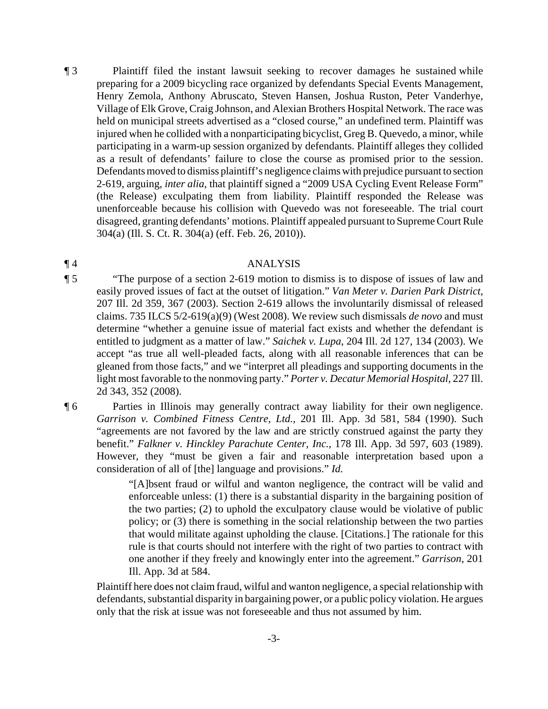¶ 3 Plaintiff filed the instant lawsuit seeking to recover damages he sustained while preparing for a 2009 bicycling race organized by defendants Special Events Management, Henry Zemola, Anthony Abruscato, Steven Hansen, Joshua Ruston, Peter Vanderhye, Village of Elk Grove, Craig Johnson, and Alexian Brothers Hospital Network. The race was held on municipal streets advertised as a "closed course," an undefined term. Plaintiff was injured when he collided with a nonparticipating bicyclist, Greg B. Quevedo, a minor, while participating in a warm-up session organized by defendants. Plaintiff alleges they collided as a result of defendants' failure to close the course as promised prior to the session. Defendants moved to dismiss plaintiff's negligence claims with prejudice pursuant to section 2-619, arguing, *inter alia*, that plaintiff signed a "2009 USA Cycling Event Release Form" (the Release) exculpating them from liability. Plaintiff responded the Release was unenforceable because his collision with Quevedo was not foreseeable. The trial court disagreed, granting defendants' motions. Plaintiff appealed pursuant to Supreme Court Rule 304(a) (Ill. S. Ct. R. 304(a) (eff. Feb. 26, 2010)).

## ¶ 4 ANALYSIS

- ¶ 5 "The purpose of a section 2-619 motion to dismiss is to dispose of issues of law and easily proved issues of fact at the outset of litigation." *Van Meter v. Darien Park District*, 207 Ill. 2d 359, 367 (2003). Section 2-619 allows the involuntarily dismissal of released claims. 735 ILCS 5/2-619(a)(9) (West 2008). We review such dismissals *de novo* and must determine "whether a genuine issue of material fact exists and whether the defendant is entitled to judgment as a matter of law." *Saichek v. Lupa*, 204 Ill. 2d 127, 134 (2003). We accept "as true all well-pleaded facts, along with all reasonable inferences that can be gleaned from those facts," and we "interpret all pleadings and supporting documents in the light most favorable to the nonmoving party." *Porter v. Decatur Memorial Hospital*, 227 Ill. 2d 343, 352 (2008).
- ¶ 6 Parties in Illinois may generally contract away liability for their own negligence. *Garrison v. Combined Fitness Centre, Ltd.*, 201 Ill. App. 3d 581, 584 (1990). Such "agreements are not favored by the law and are strictly construed against the party they benefit." *Falkner v. Hinckley Parachute Center, Inc.*, 178 Ill. App. 3d 597, 603 (1989). However, they "must be given a fair and reasonable interpretation based upon a consideration of all of [the] language and provisions." *Id.*

"[A]bsent fraud or wilful and wanton negligence, the contract will be valid and enforceable unless: (1) there is a substantial disparity in the bargaining position of the two parties; (2) to uphold the exculpatory clause would be violative of public policy; or (3) there is something in the social relationship between the two parties that would militate against upholding the clause. [Citations.] The rationale for this rule is that courts should not interfere with the right of two parties to contract with one another if they freely and knowingly enter into the agreement." *Garrison*, 201 Ill. App. 3d at 584.

Plaintiff here does not claim fraud, wilful and wanton negligence, a special relationship with defendants, substantial disparity in bargaining power, or a public policy violation. He argues only that the risk at issue was not foreseeable and thus not assumed by him.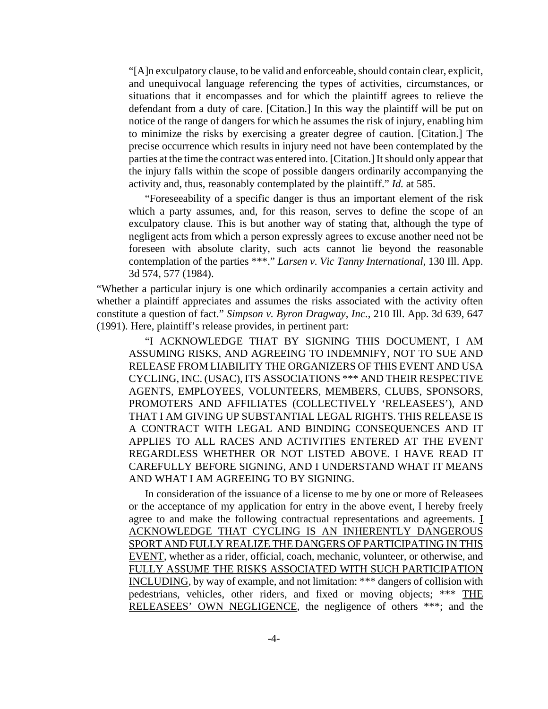"[A]n exculpatory clause, to be valid and enforceable, should contain clear, explicit, and unequivocal language referencing the types of activities, circumstances, or situations that it encompasses and for which the plaintiff agrees to relieve the defendant from a duty of care. [Citation.] In this way the plaintiff will be put on notice of the range of dangers for which he assumes the risk of injury, enabling him to minimize the risks by exercising a greater degree of caution. [Citation.] The precise occurrence which results in injury need not have been contemplated by the parties at the time the contract was entered into. [Citation.] It should only appear that the injury falls within the scope of possible dangers ordinarily accompanying the activity and, thus, reasonably contemplated by the plaintiff." *Id.* at 585.

"Foreseeability of a specific danger is thus an important element of the risk which a party assumes, and, for this reason, serves to define the scope of an exculpatory clause. This is but another way of stating that, although the type of negligent acts from which a person expressly agrees to excuse another need not be foreseen with absolute clarity, such acts cannot lie beyond the reasonable contemplation of the parties \*\*\*." *Larsen v. Vic Tanny International*, 130 Ill. App. 3d 574, 577 (1984).

"Whether a particular injury is one which ordinarily accompanies a certain activity and whether a plaintiff appreciates and assumes the risks associated with the activity often constitute a question of fact." *Simpson v. Byron Dragway, Inc.*, 210 Ill. App. 3d 639, 647 (1991). Here, plaintiff's release provides, in pertinent part:

"I ACKNOWLEDGE THAT BY SIGNING THIS DOCUMENT, I AM ASSUMING RISKS, AND AGREEING TO INDEMNIFY, NOT TO SUE AND RELEASE FROM LIABILITY THE ORGANIZERS OF THIS EVENT AND USA CYCLING, INC. (USAC), ITS ASSOCIATIONS \*\*\* AND THEIR RESPECTIVE AGENTS, EMPLOYEES, VOLUNTEERS, MEMBERS, CLUBS, SPONSORS, PROMOTERS AND AFFILIATES (COLLECTIVELY 'RELEASEES'), AND THAT I AM GIVING UP SUBSTANTIAL LEGAL RIGHTS. THIS RELEASE IS A CONTRACT WITH LEGAL AND BINDING CONSEQUENCES AND IT APPLIES TO ALL RACES AND ACTIVITIES ENTERED AT THE EVENT REGARDLESS WHETHER OR NOT LISTED ABOVE. I HAVE READ IT CAREFULLY BEFORE SIGNING, AND I UNDERSTAND WHAT IT MEANS AND WHAT I AM AGREEING TO BY SIGNING.

In consideration of the issuance of a license to me by one or more of Releasees or the acceptance of my application for entry in the above event, I hereby freely agree to and make the following contractual representations and agreements. I ACKNOWLEDGE THAT CYCLING IS AN INHERENTLY DANGEROUS SPORT AND FULLY REALIZE THE DANGERS OF PARTICIPATING IN THIS EVENT, whether as a rider, official, coach, mechanic, volunteer, or otherwise, and FULLY ASSUME THE RISKS ASSOCIATED WITH SUCH PARTICIPATION INCLUDING, by way of example, and not limitation: \*\*\* dangers of collision with pedestrians, vehicles, other riders, and fixed or moving objects; \*\*\* THE RELEASEES' OWN NEGLIGENCE, the negligence of others \*\*\*; and the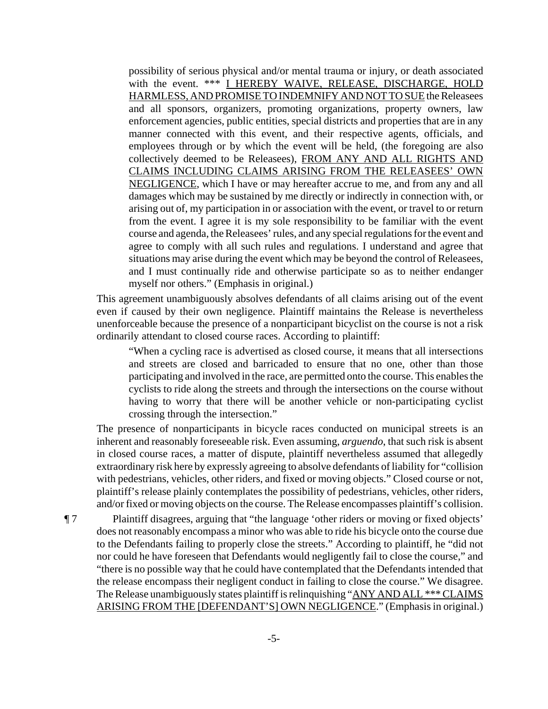possibility of serious physical and/or mental trauma or injury, or death associated with the event. \*\*\* I HEREBY WAIVE, RELEASE, DISCHARGE, HOLD HARMLESS, AND PROMISE TO INDEMNIFY AND NOT TO SUE the Releasees and all sponsors, organizers, promoting organizations, property owners, law enforcement agencies, public entities, special districts and properties that are in any manner connected with this event, and their respective agents, officials, and employees through or by which the event will be held, (the foregoing are also collectively deemed to be Releasees), FROM ANY AND ALL RIGHTS AND CLAIMS INCLUDING CLAIMS ARISING FROM THE RELEASEES' OWN NEGLIGENCE, which I have or may hereafter accrue to me, and from any and all damages which may be sustained by me directly or indirectly in connection with, or arising out of, my participation in or association with the event, or travel to or return from the event. I agree it is my sole responsibility to be familiar with the event course and agenda, the Releasees' rules, and any special regulations for the event and agree to comply with all such rules and regulations. I understand and agree that situations may arise during the event which may be beyond the control of Releasees, and I must continually ride and otherwise participate so as to neither endanger myself nor others." (Emphasis in original.)

This agreement unambiguously absolves defendants of all claims arising out of the event even if caused by their own negligence. Plaintiff maintains the Release is nevertheless unenforceable because the presence of a nonparticipant bicyclist on the course is not a risk ordinarily attendant to closed course races. According to plaintiff:

"When a cycling race is advertised as closed course, it means that all intersections and streets are closed and barricaded to ensure that no one, other than those participating and involved in the race, are permitted onto the course. This enables the cyclists to ride along the streets and through the intersections on the course without having to worry that there will be another vehicle or non-participating cyclist crossing through the intersection."

The presence of nonparticipants in bicycle races conducted on municipal streets is an inherent and reasonably foreseeable risk. Even assuming, *arguendo*, that such risk is absent in closed course races, a matter of dispute, plaintiff nevertheless assumed that allegedly extraordinary risk here by expressly agreeing to absolve defendants of liability for "collision with pedestrians, vehicles, other riders, and fixed or moving objects." Closed course or not, plaintiff's release plainly contemplates the possibility of pedestrians, vehicles, other riders, and/or fixed or moving objects on the course. The Release encompasses plaintiff's collision.

¶ 7 Plaintiff disagrees, arguing that "the language 'other riders or moving or fixed objects' does not reasonably encompass a minor who was able to ride his bicycle onto the course due to the Defendants failing to properly close the streets." According to plaintiff, he "did not nor could he have foreseen that Defendants would negligently fail to close the course," and "there is no possible way that he could have contemplated that the Defendants intended that the release encompass their negligent conduct in failing to close the course." We disagree. The Release unambiguously states plaintiff is relinquishing "ANY AND ALL \*\*\* CLAIMS" ARISING FROM THE [DEFENDANT'S] OWN NEGLIGENCE." (Emphasis in original.)